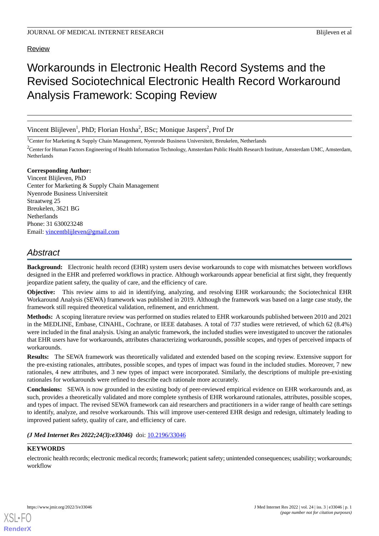# Review

# Workarounds in Electronic Health Record Systems and the Revised Sociotechnical Electronic Health Record Workaround Analysis Framework: Scoping Review

Vincent Blijleven<sup>1</sup>, PhD; Florian Hoxha<sup>2</sup>, BSc; Monique Jaspers<sup>2</sup>, Prof Dr

<sup>1</sup>Center for Marketing & Supply Chain Management, Nyenrode Business Universiteit, Breukelen, Netherlands

<sup>2</sup>Center for Human Factors Engineering of Health Information Technology, Amsterdam Public Health Research Institute, Amsterdam UMC, Amsterdam, Netherlands

### **Corresponding Author:**

Vincent Blijleven, PhD Center for Marketing & Supply Chain Management Nyenrode Business Universiteit Straatweg 25 Breukelen, 3621 BG Netherlands Phone: 31 630023248 Email: [vincentblijleven@gmail.com](mailto:vincentblijleven@gmail.com)

# *Abstract*

**Background:** Electronic health record (EHR) system users devise workarounds to cope with mismatches between workflows designed in the EHR and preferred workflows in practice. Although workarounds appear beneficial at first sight, they frequently jeopardize patient safety, the quality of care, and the efficiency of care.

**Objective:** This review aims to aid in identifying, analyzing, and resolving EHR workarounds; the Sociotechnical EHR Workaround Analysis (SEWA) framework was published in 2019. Although the framework was based on a large case study, the framework still required theoretical validation, refinement, and enrichment.

**Methods:** A scoping literature review was performed on studies related to EHR workarounds published between 2010 and 2021 in the MEDLINE, Embase, CINAHL, Cochrane, or IEEE databases. A total of 737 studies were retrieved, of which 62 (8.4%) were included in the final analysis. Using an analytic framework, the included studies were investigated to uncover the rationales that EHR users have for workarounds, attributes characterizing workarounds, possible scopes, and types of perceived impacts of workarounds.

**Results:** The SEWA framework was theoretically validated and extended based on the scoping review. Extensive support for the pre-existing rationales, attributes, possible scopes, and types of impact was found in the included studies. Moreover, 7 new rationales, 4 new attributes, and 3 new types of impact were incorporated. Similarly, the descriptions of multiple pre-existing rationales for workarounds were refined to describe each rationale more accurately.

**Conclusions:** SEWA is now grounded in the existing body of peer-reviewed empirical evidence on EHR workarounds and, as such, provides a theoretically validated and more complete synthesis of EHR workaround rationales, attributes, possible scopes, and types of impact. The revised SEWA framework can aid researchers and practitioners in a wider range of health care settings to identify, analyze, and resolve workarounds. This will improve user-centered EHR design and redesign, ultimately leading to improved patient safety, quality of care, and efficiency of care.

# *(J Med Internet Res 2022;24(3):e33046)* doi: [10.2196/33046](http://dx.doi.org/10.2196/33046)

# **KEYWORDS**

electronic health records; electronic medical records; framework; patient safety; unintended consequences; usability; workarounds; workflow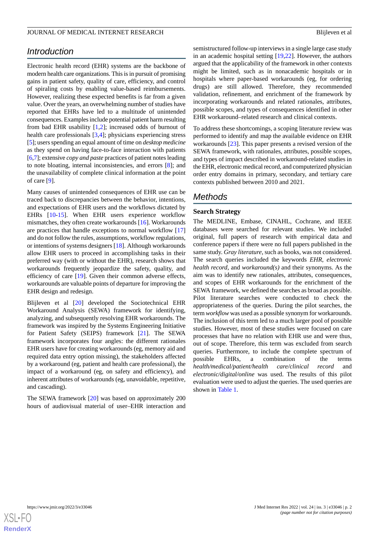# *Introduction*

Electronic health record (EHR) systems are the backbone of modern health care organizations. This is in pursuit of promising gains in patient safety, quality of care, efficiency, and control of spiraling costs by enabling value-based reimbursements. However, realizing these expected benefits is far from a given value. Over the years, an overwhelming number of studies have reported that EHRs have led to a multitude of unintended consequences. Examples include potential patient harm resulting from bad EHR usability [[1,](#page-11-0)[2](#page-11-1)]; increased odds of burnout of health care professionals [\[3](#page-11-2),[4\]](#page-11-3); physicians experiencing stress [[5\]](#page-11-4); users spending an equal amount of time on *desktop medicine* as they spend on having face-to-face interaction with patients [[6,](#page-11-5)[7](#page-11-6)]; extensive *copy and paste* practices of patient notes leading to note bloating, internal inconsistencies, and errors [\[8\]](#page-11-7); and the unavailability of complete clinical information at the point of care [[9\]](#page-11-8).

Many causes of unintended consequences of EHR use can be traced back to discrepancies between the behavior, intentions, and expectations of EHR users and the workflows dictated by EHRs [[10-](#page-11-9)[15\]](#page-11-10). When EHR users experience workflow mismatches, they often create workarounds [\[16](#page-12-0)]. Workarounds are practices that handle exceptions to normal workflow [\[17](#page-12-1)] and do not follow the rules, assumptions, workflow regulations, or intentions of systems designers [[18\]](#page-12-2). Although workarounds allow EHR users to proceed in accomplishing tasks in their preferred way (with or without the EHR), research shows that workarounds frequently jeopardize the safety, quality, and efficiency of care [\[19](#page-12-3)]. Given their common adverse effects, workarounds are valuable points of departure for improving the EHR design and redesign.

Blijleven et al [[20\]](#page-12-4) developed the Sociotechnical EHR Workaround Analysis (SEWA) framework for identifying, analyzing, and subsequently resolving EHR workarounds. The framework was inspired by the Systems Engineering Initiative for Patient Safety (SEIPS) framework [[21\]](#page-12-5). The SEWA framework incorporates four angles: the different rationales EHR users have for creating workarounds (eg, memory aid and required data entry option missing), the stakeholders affected by a workaround (eg, patient and health care professional), the impact of a workaround (eg, on safety and efficiency), and inherent attributes of workarounds (eg, unavoidable, repetitive, and cascading).

The SEWA framework [[20\]](#page-12-4) was based on approximately 200 hours of audiovisual material of user–EHR interaction and

semistructured follow-up interviews in a single large case study in an academic hospital setting [[19,](#page-12-3)[22](#page-12-6)]. However, the authors argued that the applicability of the framework in other contexts might be limited, such as in nonacademic hospitals or in hospitals where paper-based workarounds (eg, for ordering drugs) are still allowed. Therefore, they recommended validation, refinement, and enrichment of the framework by incorporating workarounds and related rationales, attributes, possible scopes, and types of consequences identified in other EHR workaround–related research and clinical contexts.

To address these shortcomings, a scoping literature review was performed to identify and map the available evidence on EHR workarounds [[23\]](#page-12-7). This paper presents a revised version of the SEWA framework, with rationales, attributes, possible scopes, and types of impact described in workaround-related studies in the EHR, electronic medical record, and computerized physician order entry domains in primary, secondary, and tertiary care contexts published between 2010 and 2021.

# *Methods*

# **Search Strategy**

The MEDLINE, Embase, CINAHL, Cochrane, and IEEE databases were searched for relevant studies. We included original, full papers of research with empirical data and conference papers if there were no full papers published in the same study. *Gray literature*, such as books, was not considered. The search queries included the keywords *EHR*, *electronic health record*, and *workaround(s)* and their synonyms. As the aim was to identify new rationales, attributes, consequences, and scopes of EHR workarounds for the enrichment of the SEWA framework, we defined the searches as broad as possible. Pilot literature searches were conducted to check the appropriateness of the queries. During the pilot searches, the term *workflow* was used as a possible synonym for workarounds. The inclusion of this term led to a much larger pool of possible studies. However, most of these studies were focused on care processes that have no relation with EHR use and were thus, out of scope. Therefore, this term was excluded from search queries. Furthermore, to include the complete spectrum of possible EHRs, a combination of the terms *health/medical/patient/health care/clinical record* and *electronic/digital/online* was used. The results of this pilot evaluation were used to adjust the queries. The used queries are shown in [Table 1.](#page-2-0)

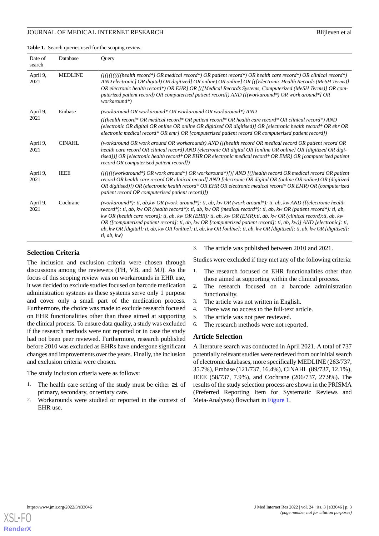#### JOURNAL OF MEDICAL INTERNET RESEARCH BLIJLEVEN BLIJLEVEN ET ALLEVEN BLIJLEVEN ET ALLEVEN BLIJLEVEN ET ALLEVEN B

<span id="page-2-0"></span>**Table 1.** Search queries used for the scoping review.

| Date of<br>search | Database       | Ouery                                                                                                                                                                                                                                                                                                                                                                                                                                                                                                                                                                                                                         |
|-------------------|----------------|-------------------------------------------------------------------------------------------------------------------------------------------------------------------------------------------------------------------------------------------------------------------------------------------------------------------------------------------------------------------------------------------------------------------------------------------------------------------------------------------------------------------------------------------------------------------------------------------------------------------------------|
| April 9,<br>2021  | <b>MEDLINE</b> | $([f]]((f))$ (if $([f]]((f))$ health record*) OR medical record*) OR patient record*) OR health care record*) OR clinical record*)<br>AND electronic] OR digital) OR digitized] OR online) OR online] OR [([Electronic Health Records (MeSH Terms)]<br>OR electronic health record*) OR EHR] OR [([Medical Records Systems, Computerized (MeSH Terms)] OR com-<br>puterized patient record) OR computerised patient record]) AND ( $\int$ (workaround*) OR work around*] OR<br>workaround*)                                                                                                                                   |
| April 9,          | Embase         | (workaround OR workaround* OR workaround OR workaround*) AND                                                                                                                                                                                                                                                                                                                                                                                                                                                                                                                                                                  |
| 2021              |                | ([(health record* OR medical record* OR patient record* OR health care record* OR clinical record*) AND<br>(electronic OR digital OR online OR online OR digitized OR digitised)] OR [electronic health record* OR ehr OR<br>electronic medical record* OR emr] OR [computerized patient record OR computerised patient record])                                                                                                                                                                                                                                                                                              |
| April 9,<br>2021  | <b>CINAHL</b>  | (workaround OR work around OR workarounds) AND ([(health record OR medical record OR patient record OR<br>health care record OR clinical record) AND (electronic OR digital OR [online OR online] OR [digitized OR digi-<br>tised])] OR [electronic health record* OR EHR OR electronic medical record* OR EMR] OR [computerized patient<br>record OR computerised patient record])                                                                                                                                                                                                                                           |
| April 9,<br>2021  | <b>IEEE</b>    | $([f/f/(workaround*) \ OR \ work \ around*] \ OR \ work around*)]]$ AND $[(f)$ health record OR medical record OR patient<br>record OR health care record OR clinical record] AND [electronic OR digital OR (online OR online) OR (digitized<br>OR digitised)]) OR (electronic health record* OR EHR OR electronic medical record* OR EMR) OR (computerized<br>patient record OR computerised patient record)])                                                                                                                                                                                                               |
| April 9,<br>2021  | Cochrane       | (workaround*): ti, ab, kw OR (work-around*): ti, ab, kw OR (work around*): ti, ab, kw AND ([(electronic health<br>record*): ti, ab, kw OR (health record*): ti, ab, kw OR (medical record*): ti, ab, kw OR (patient record*): ti, ab,<br>kw OR (health care record): ti, ab, kw OR (EHR): ti, ab, kw OR (EMR): ti, ab, kw OR (clinical record): ti, ab, kw<br>OR ([computerized patient record]: ti, ab, kw OR [computerized patient record]: ti, ab, kw]] AND [electronic]: ti,<br>ab, kw OR [digital]: ti, ab, kw OR [online]: ti, ab, kw OR [online]: ti, ab, kw OR [digitized]: ti, ab, kw OR [digitised]:<br>ti, ab, kw) |

# **Selection Criteria**

The inclusion and exclusion criteria were chosen through discussions among the reviewers (FH, VB, and MJ). As the focus of this scoping review was on workarounds in EHR use, it was decided to exclude studies focused on barcode medication administration systems as these systems serve only 1 purpose and cover only a small part of the medication process. Furthermore, the choice was made to exclude research focused on EHR functionalities other than those aimed at supporting the clinical process. To ensure data quality, a study was excluded if the research methods were not reported or in case the study had not been peer reviewed. Furthermore, research published before 2010 was excluded as EHRs have undergone significant changes and improvements over the years. Finally, the inclusion and exclusion criteria were chosen.

The study inclusion criteria were as follows:

- 1. The health care setting of the study must be either  $\geq 1$  of primary, secondary, or tertiary care.
- 2. Workarounds were studied or reported in the context of EHR use.

3. The article was published between 2010 and 2021.

Studies were excluded if they met any of the following criteria:

- 1. The research focused on EHR functionalities other than those aimed at supporting within the clinical process.
- 2. The research focused on a barcode administration functionality.
- 3. The article was not written in English.
- 4. There was no access to the full-text article.
- 5. The article was not peer reviewed.
- 6. The research methods were not reported.

#### **Article Selection**

A literature search was conducted in April 2021. A total of 737 potentially relevant studies were retrieved from our initial search of electronic databases, more specifically MEDLINE (263/737, 35.7%), Embase (121/737, 16.4%), CINAHL (89/737, 12.1%), IEEE (58/737, 7.9%), and Cochrane (206/737, 27.9%). The results of the study selection process are shown in the PRISMA (Preferred Reporting Item for Systematic Reviews and Meta-Analyses) flowchart in [Figure 1](#page-3-0).

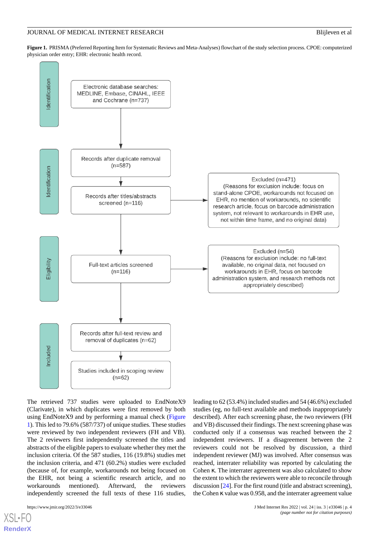<span id="page-3-0"></span>**Figure 1.** PRISMA (Preferred Reporting Item for Systematic Reviews and Meta-Analyses) flowchart of the study selection process. CPOE: computerized physician order entry; EHR: electronic health record.



The retrieved 737 studies were uploaded to EndNoteX9 (Clarivate), in which duplicates were first removed by both using EndNoteX9 and by performing a manual check ([Figure](#page-3-0) [1\)](#page-3-0). This led to 79.6% (587/737) of unique studies. These studies were reviewed by two independent reviewers (FH and VB). The 2 reviewers first independently screened the titles and abstracts of the eligible papers to evaluate whether they met the inclusion criteria. Of the 587 studies, 116 (19.8%) studies met the inclusion criteria, and 471 (60.2%) studies were excluded (because of, for example, workarounds not being focused on the EHR, not being a scientific research article, and no workarounds mentioned). Afterward, the reviewers independently screened the full texts of these 116 studies,

[XSL](http://www.w3.org/Style/XSL)•FO **[RenderX](http://www.renderx.com/)**

leading to 62 (53.4%) included studies and 54 (46.6%) excluded studies (eg, no full-text available and methods inappropriately described). After each screening phase, the two reviewers (FH and VB) discussed their findings. The next screening phase was conducted only if a consensus was reached between the 2 independent reviewers. If a disagreement between the 2 reviewers could not be resolved by discussion, a third independent reviewer (MJ) was involved. After consensus was reached, interrater reliability was reported by calculating the Cohen κ. The interrater agreement was also calculated to show the extent to which the reviewers were able to reconcile through discussion [\[24\]](#page-12-8). For the first round (title and abstract screening), the Cohen κ value was 0.958, and the interrater agreement value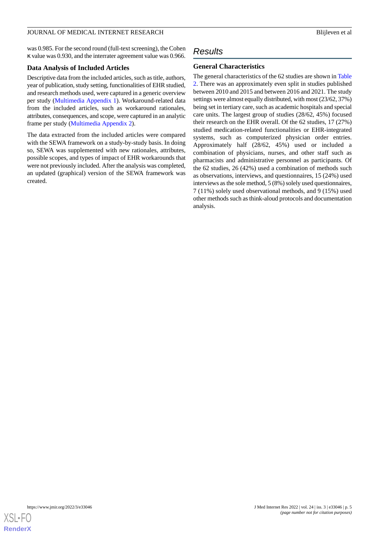#### JOURNAL OF MEDICAL INTERNET RESEARCH BLIJLEVEN BLIJLEVEN ET ALLEVEN BLIJLEVEN ET ALLEVEN BLIJLEVEN ET ALLEVEN B

was 0.985. For the second round (full-text screening), the Cohen κ value was 0.930, and the interrater agreement value was 0.966.

# **Data Analysis of Included Articles**

Descriptive data from the included articles, such as title, authors, year of publication, study setting, functionalities of EHR studied, and research methods used, were captured in a generic overview per study [\(Multimedia Appendix 1](#page-11-11)). Workaround-related data from the included articles, such as workaround rationales, attributes, consequences, and scope, were captured in an analytic frame per study [\(Multimedia Appendix 2](#page-11-12)).

The data extracted from the included articles were compared with the SEWA framework on a study-by-study basis. In doing so, SEWA was supplemented with new rationales, attributes, possible scopes, and types of impact of EHR workarounds that were not previously included. After the analysis was completed, an updated (graphical) version of the SEWA framework was created.

# *Results*

# **General Characteristics**

The general characteristics of the 62 studies are shown in [Table](#page-5-0) [2.](#page-5-0) There was an approximately even split in studies published between 2010 and 2015 and between 2016 and 2021. The study settings were almost equally distributed, with most (23/62, 37%) being set in tertiary care, such as academic hospitals and special care units. The largest group of studies (28/62, 45%) focused their research on the EHR overall. Of the 62 studies, 17 (27%) studied medication-related functionalities or EHR-integrated systems, such as computerized physician order entries. Approximately half (28/62, 45%) used or included a combination of physicians, nurses, and other staff such as pharmacists and administrative personnel as participants. Of the 62 studies, 26 (42%) used a combination of methods such as observations, interviews, and questionnaires, 15 (24%) used interviews as the sole method, 5 (8%) solely used questionnaires, 7 (11%) solely used observational methods, and 9 (15%) used other methods such as think-aloud protocols and documentation analysis.

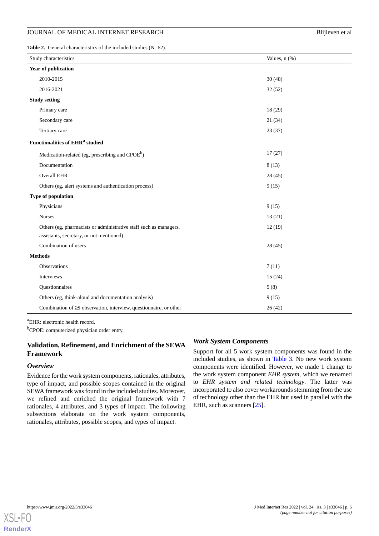<span id="page-5-0"></span>Table 2. General characteristics of the included studies (N=62).

| Study characteristics                                                                                         | Values, n (%) |  |
|---------------------------------------------------------------------------------------------------------------|---------------|--|
| Year of publication                                                                                           |               |  |
| 2010-2015                                                                                                     | 30(48)        |  |
| 2016-2021                                                                                                     | 32(52)        |  |
| <b>Study setting</b>                                                                                          |               |  |
| Primary care                                                                                                  | 18 (29)       |  |
| Secondary care                                                                                                | 21(34)        |  |
| Tertiary care                                                                                                 | 23(37)        |  |
| <b>Functionalities of EHR<sup>a</sup> studied</b>                                                             |               |  |
| Medication-related (eg, prescribing and CPOE <sup>b</sup> )                                                   | 17(27)        |  |
| Documentation                                                                                                 | 8(13)         |  |
| <b>Overall EHR</b>                                                                                            | 28 (45)       |  |
| Others (eg, alert systems and authentication process)                                                         | 9(15)         |  |
| Type of population                                                                                            |               |  |
| Physicians                                                                                                    | 9(15)         |  |
| <b>Nurses</b>                                                                                                 | 13(21)        |  |
| Others (eg, pharmacists or administrative staff such as managers,<br>assistants, secretary, or not mentioned) | 12(19)        |  |
| Combination of users                                                                                          | 28 (45)       |  |
| <b>Methods</b>                                                                                                |               |  |
| Observations                                                                                                  | 7(11)         |  |
| Interviews                                                                                                    | 15(24)        |  |
| Questionnaires                                                                                                | 5(8)          |  |
| Others (eg, think-aloud and documentation analysis)                                                           | 9(15)         |  |
| Combination of $\geq 1$ observation, interview, questionnaire, or other                                       | 26(42)        |  |

<sup>a</sup>EHR: electronic health record.

<sup>b</sup>CPOE: computerized physician order entry.

# **Validation, Refinement, and Enrichment of the SEWA Framework**

#### *Overview*

Evidence for the work system components, rationales, attributes, type of impact, and possible scopes contained in the original SEWA framework was found in the included studies. Moreover, we refined and enriched the original framework with 7 rationales, 4 attributes, and 3 types of impact. The following subsections elaborate on the work system components, rationales, attributes, possible scopes, and types of impact.

#### *Work System Components*

Support for all 5 work system components was found in the included studies, as shown in [Table 3.](#page-6-0) No new work system components were identified. However, we made 1 change to the work system component *EHR system*, which we renamed to *EHR system and related technology*. The latter was incorporated to also cover workarounds stemming from the use of technology other than the EHR but used in parallel with the EHR, such as scanners [[25\]](#page-12-9).

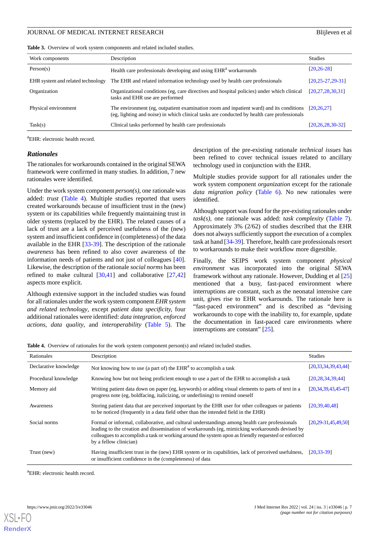#### JOURNAL OF MEDICAL INTERNET RESEARCH BLIJLEVEN BLIJLEVEN ET ALLEVEN BLIJLEVEN ET ALLEVEN BLIJLEVEN ET ALLEVEN B

<span id="page-6-0"></span>

|  |  |  | Table 3. Overview of work system components and related included studies. |  |  |  |
|--|--|--|---------------------------------------------------------------------------|--|--|--|
|--|--|--|---------------------------------------------------------------------------|--|--|--|

| Work components                   | Description                                                                                                                                                                            | <b>Studies</b>         |
|-----------------------------------|----------------------------------------------------------------------------------------------------------------------------------------------------------------------------------------|------------------------|
| Person(s)                         | Health care professionals developing and using EHR <sup>a</sup> workarounds                                                                                                            | $[20.26-28]$           |
| EHR system and related technology | The EHR and related information technology used by health care professionals                                                                                                           | $[20.25 - 27.29 - 31]$ |
| Organization                      | Organizational conditions (eg, care directives and hospital policies) under which clinical<br>tasks and EHR use are performed                                                          | [20, 27, 28, 30, 31]   |
| Physical environment              | The environment (eg, outpatient examination room and inpatient ward) and its conditions<br>(eg, lighting and noise) in which clinical tasks are conducted by health care professionals | [20.26.27]             |
| Task(s)                           | Clinical tasks performed by health care professionals                                                                                                                                  | [20, 26, 28, 30, 32]   |

<sup>a</sup>EHR: electronic health record.

### *Rationales*

The rationales for workarounds contained in the original SEWA framework were confirmed in many studies. In addition, 7 new rationales were identified.

Under the work system component *person(s)*, one rationale was added: *trust* [\(Table 4\)](#page-6-1). Multiple studies reported that users created workarounds because of insufficient trust in the (new) system or its capabilities while frequently maintaining trust in older systems (replaced by the EHR). The related causes of a lack of trust are a lack of perceived usefulness of the (new) system and insufficient confidence in (completeness) of the data available in the EHR [[33-](#page-12-17)[39](#page-13-0)]. The description of the rationale *awareness* has been refined to also cover awareness of the information needs of patients and not just of colleagues [[40\]](#page-13-1). Likewise, the description of the rationale *social norms* has been refined to make cultural  $[30,41]$  $[30,41]$  $[30,41]$  $[30,41]$  and collaborative  $[27,42]$  $[27,42]$  $[27,42]$  $[27,42]$ aspects more explicit.

<span id="page-6-1"></span>Although extensive support in the included studies was found for all rationales under the work system component *EHR system and related technology*, except *patient data specificity,* four additional rationales were identified: *data integration*, *enforced actions*, *data quality*, and *interoperability* ([Table 5](#page-7-0)). The description of the pre-existing rationale *technical issues* has been refined to cover technical issues related to ancillary technology used in conjunction with the EHR.

Multiple studies provide support for all rationales under the work system component *organization* except for the rationale *data migration policy* [\(Table 6\)](#page-7-1). No new rationales were identified.

Although support was found for the pre-existing rationales under *task(s)*, one rationale was added: *task complexity* ([Table 7\)](#page-7-2). Approximately 3% (2/62) of studies described that the EHR does not always sufficiently support the execution of a complex task at hand [[34-](#page-12-18)[39\]](#page-13-0). Therefore, health care professionals resort to workarounds to make their workflow more digestible.

Finally, the SEIPS work system component *physical environment* was incorporated into the original SEWA framework without any rationale. However, Dudding et al [\[25](#page-12-9)] mentioned that a busy, fast-paced environment where interruptions are constant, such as the neonatal intensive care unit, gives rise to EHR workarounds. The rationale here is "fast-paced environment" and is described as "devising workarounds to cope with the inability to, for example, update the documentation in fast-paced care environments where interruptions are constant" [[25\]](#page-12-9).

**Table 4.** Overview of rationales for the work system component person(s) and related included studies.

| Rationales            | Description                                                                                                                                                                                                                                                                                                                       | <b>Studies</b>           |
|-----------------------|-----------------------------------------------------------------------------------------------------------------------------------------------------------------------------------------------------------------------------------------------------------------------------------------------------------------------------------|--------------------------|
| Declarative knowledge | Not knowing how to use (a part of) the $EHRa$ to accomplish a task                                                                                                                                                                                                                                                                | [20, 33, 34, 39, 43, 44] |
| Procedural knowledge  | Knowing how but not being proficient enough to use a part of the EHR to accomplish a task                                                                                                                                                                                                                                         | [20, 28, 34, 39, 44]     |
| Memory aid            | Writing patient data down on paper (eg, keywords) or adding visual elements to parts of text in a<br>progress note (eg, boldfacing, italicizing, or underlining) to remind oneself                                                                                                                                                | [20, 34, 39, 43, 45, 47] |
| Awareness             | Storing patient data that are perceived important by the EHR user for other colleagues or patients<br>to be noticed (frequently in a data field other than the intended field in the EHR)                                                                                                                                         | [20.39.40.48]            |
| Social norms          | Formal or informal, collaborative, and cultural understandings among health care professionals<br>leading to the creation and dissemination of workarounds (eg, mimicking workarounds devised by<br>colleagues to accomplish a task or working around the system upon as friendly requested or enforced<br>by a fellow clinician) | $[20.29 - 31.45.49.50]$  |
| Trust (new)           | Having insufficient trust in the (new) EHR system or its capabilities, lack of perceived usefulness,<br>or insufficient confidence in the (completeness) of data                                                                                                                                                                  | $[20.33 - 39]$           |

 ${}^{a}$ EHR: electronic health record.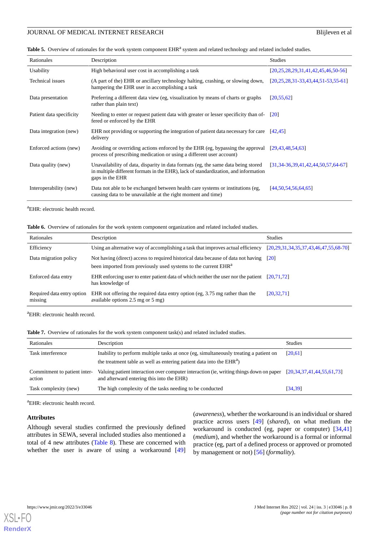<span id="page-7-0"></span>Table 5. Overview of rationales for the work system component EHR<sup>a</sup> system and related technology and related included studies.

| Rationales               | Description                                                                                                                                                                                 | <b>Studies</b>                                 |
|--------------------------|---------------------------------------------------------------------------------------------------------------------------------------------------------------------------------------------|------------------------------------------------|
| Usability                | High behavioral user cost in accomplishing a task                                                                                                                                           | [20,25,28,29,31,41,42,45,46,50.56]             |
| Technical issues         | (A part of the) EHR or ancillary technology halting, crashing, or slowing down,<br>hampering the EHR user in accomplishing a task                                                           | $[20, 25, 28, 31, 33, 43, 44, 51, 53, 55, 61]$ |
| Data presentation        | Preferring a different data view (eg, visualization by means of charts or graphs)<br>rather than plain text)                                                                                | [20, 55, 62]                                   |
| Patient data specificity | Needing to enter or request patient data with greater or lesser specificity than of-<br>fered or enforced by the EHR                                                                        | $\lceil 20 \rceil$                             |
| Data integration (new)   | EHR not providing or supporting the integration of patient data necessary for care<br>delivery                                                                                              | [42.45]                                        |
| Enforced actions (new)   | Avoiding or overriding actions enforced by the EHR (eg, bypassing the approval<br>process of prescribing medication or using a different user account)                                      | [29, 43, 48, 54, 63]                           |
| Data quality (new)       | Unavailability of data, disparity in data formats (eg, the same data being stored<br>in multiple different formats in the EHR), lack of standardization, and information<br>gaps in the EHR | [31.34-36.39.41.42.44.50.57.64-67]             |
| Interoperability (new)   | Data not able to be exchanged between health care systems or institutions (eg,<br>causing data to be unavailable at the right moment and time)                                              | [44, 50, 54, 56, 64, 65]                       |

<span id="page-7-1"></span><sup>a</sup>EHR: electronic health record.

| Table 6. Overview of rationales for the work system component organization and related included studies. |  |
|----------------------------------------------------------------------------------------------------------|--|
|----------------------------------------------------------------------------------------------------------|--|

| Rationales                            | Description                                                                                                                                                     | <b>Studies</b>                          |
|---------------------------------------|-----------------------------------------------------------------------------------------------------------------------------------------------------------------|-----------------------------------------|
| Efficiency                            | Using an alternative way of accomplishing a task that improves actual efficiency                                                                                | $[20,29,31,34,35,37,43,46,47,55,68-70]$ |
| Data migration policy                 | Not having (direct) access to required historical data because of data not having<br>been imported from previously used systems to the current EHR <sup>a</sup> | [20]                                    |
| Enforced data entry                   | EHR enforcing user to enter patient data of which neither the user nor the patient<br>has knowledge of                                                          | [20.71.72]                              |
| Required data entry option<br>missing | EHR not offering the required data entry option (eg, 3.75 mg rather than the<br>available options $2.5 \text{ mg}$ or $5 \text{ mg}$ )                          | [20, 32, 71]                            |

<span id="page-7-2"></span><sup>a</sup>EHR: electronic health record.

| Rationales                             | Description                                                                                                                                                               | <b>Studies</b>                   |
|----------------------------------------|---------------------------------------------------------------------------------------------------------------------------------------------------------------------------|----------------------------------|
| Task interference                      | Inability to perform multiple tasks at once (eg, simultaneously treating a patient on<br>the treatment table as well as entering patient data into the EHR <sup>a</sup> ) | [20,61]                          |
| Commitment to patient inter-<br>action | Valuing patient interaction over computer interaction (ie, writing things down on paper<br>and afterward entering this into the EHR)                                      | [20, 34, 37, 41, 44, 55, 61, 73] |
| Task complexity (new)                  | The high complexity of the tasks needing to be conducted                                                                                                                  | [34, 39]                         |

<sup>a</sup>EHR: electronic health record.

#### **Attributes**

Although several studies confirmed the previously defined attributes in SEWA, several included studies also mentioned a total of 4 new attributes [\(Table 8](#page-8-0)). These are concerned with whether the user is aware of using a workaround [\[49](#page-13-9)]

(*awareness*), whether the workaround is an individual or shared practice across users [[49\]](#page-13-9) (*shared*), on what medium the workaround is conducted (eg, paper or computer) [[34](#page-12-18)[,41](#page-13-2)] (*medium*), and whether the workaround is a formal or informal practice (eg, part of a defined process or approved or promoted by management or not) [\[56](#page-13-12)] (*formality*).



**[RenderX](http://www.renderx.com/)**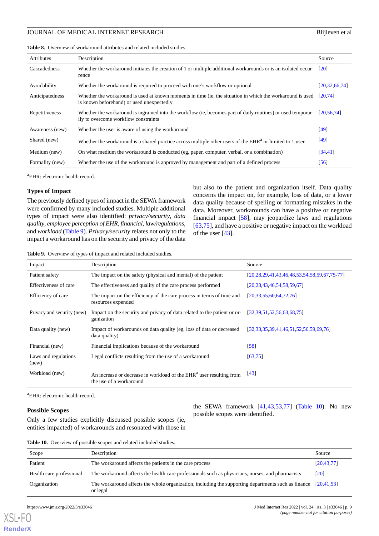<span id="page-8-0"></span>Table 8. Overview of workaround attributes and related included studies.

| Attributes      | Description                                                                                                                                             | Source             |
|-----------------|---------------------------------------------------------------------------------------------------------------------------------------------------------|--------------------|
| Cascadedness    | Whether the workaround initiates the creation of 1 or multiple additional workarounds or is an isolated occur-<br>rence                                 | $\lceil 20 \rceil$ |
| Avoidability    | Whether the workaround is required to proceed with one's workflow or optional                                                                           | [20.32, 66.74]     |
| Anticipatedness | Whether the workaround is used at known moments in time (ie, the situation in which the workaround is used<br>is known beforehand) or used unexpectedly | [20.74]            |
| Repetitiveness  | Whether the workaround is ingrained into the workflow (ie, becomes part of daily routines) or used temporar-<br>ily to overcome workflow constraints    | [20.56.74]         |
| Awareness (new) | Whether the user is aware of using the workaround                                                                                                       | [49]               |
| Shared (new)    | Whether the workaround is a shared practice across multiple other users of the EHR <sup>a</sup> or limited to 1 user                                    | $[49]$             |
| Medium (new)    | On what medium the workaround is conducted (eg, paper, computer, verbal, or a combination)                                                              | [34, 41]           |
| Formality (new) | Whether the use of the workaround is approved by management and part of a defined process                                                               | $[56]$             |

<sup>a</sup>EHR: electronic health record.

#### **Types of Impact**

The previously defined types of impact in the SEWA framework were confirmed by many included studies. Multiple additional types of impact were also identified: *privacy/security*, *data quality*, *employee perception of EHR*, *financial*, *law/regulations*, and *workload* [\(Table 9](#page-8-1)). *Privacy/security* relates not only to the impact a workaround has on the security and privacy of the data

but also to the patient and organization itself. Data quality concerns the impact on, for example, loss of data, or a lower data quality because of spelling or formatting mistakes in the data. Moreover, workarounds can have a positive or negative financial impact [\[58](#page-13-18)], may jeopardize laws and regulations [[63,](#page-14-2)[75\]](#page-14-13), and have a positive or negative impact on the workload of the user  $[43]$  $[43]$ .

<span id="page-8-1"></span>**Table 9.** Overview of types of impact and related included studies.

| Impact                        | Description                                                                                                | Source                                      |
|-------------------------------|------------------------------------------------------------------------------------------------------------|---------------------------------------------|
| Patient safety                | The impact on the safety (physical and mental) of the patient                                              | [20,28,29,41,43,46,48,53,54,58,59,67,75-77] |
| Effectiveness of care         | The effectiveness and quality of the care process performed                                                | [20, 28, 43, 46, 54, 58, 59, 67]            |
| Efficiency of care            | The impact on the efficiency of the care process in terms of time and<br>resources expended                | [20,33,55,60,64,72,76]                      |
| Privacy and security (new)    | Impact on the security and privacy of data related to the patient or or-<br>ganization                     | [32,39,51,52,56,63,68,75]                   |
| Data quality (new)            | Impact of workarounds on data quality (eg, loss of data or decreased<br>data quality)                      | [32,33,35,39,41,46,51,52,56,59,69,76]       |
| Financial (new)               | Financial implications because of the workaround                                                           | [58]                                        |
| Laws and regulations<br>(new) | Legal conflicts resulting from the use of a workaround                                                     | [63, 75]                                    |
| Workload (new)                | An increase or decrease in workload of the EHR <sup>a</sup> user resulting from<br>the use of a workaround | $[43]$                                      |

<sup>a</sup>EHR: electronic health record.

#### **Possible Scopes**

the SEWA framework [[41](#page-13-2)[,43](#page-13-4),[53,](#page-13-14)[77\]](#page-14-14) [\(Table 10](#page-2-0)). No new possible scopes were identified.

Only a few studies explicitly discussed possible scopes (ie, entities impacted) of workarounds and resonated with those in

| Table 10. Overview of possible scopes and related included studies. |  |
|---------------------------------------------------------------------|--|
|---------------------------------------------------------------------|--|

| Scope                    | Description                                                                                                                | Source       |
|--------------------------|----------------------------------------------------------------------------------------------------------------------------|--------------|
| Patient                  | The workaround affects the patients in the care process                                                                    | [20, 43, 77] |
| Health care professional | The workaround affects the health care professionals such as physicians, nurses, and pharmacists                           | [20]         |
| Organization             | The workaround affects the whole organization, including the supporting departments such as finance [20,41,53]<br>or legal |              |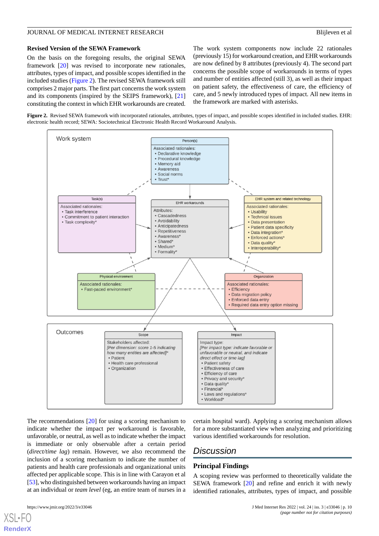#### **Revised Version of the SEWA Framework**

On the basis on the foregoing results, the original SEWA framework [\[20](#page-12-4)] was revised to incorporate new rationales, attributes, types of impact, and possible scopes identified in the included studies [\(Figure 2\)](#page-9-0). The revised SEWA framework still comprises 2 major parts. The first part concerns the work system and its components (inspired by the SEIPS framework), [\[21](#page-12-5)] constituting the context in which EHR workarounds are created. The work system components now include 22 rationales (previously 15) for workaround creation, and EHR workarounds are now defined by 8 attributes (previously 4). The second part concerns the possible scope of workarounds in terms of types and number of entities affected (still 3), as well as their impact on patient safety, the effectiveness of care, the efficiency of care, and 5 newly introduced types of impact. All new items in the framework are marked with asterisks.

<span id="page-9-0"></span>**Figure 2.** Revised SEWA framework with incorporated rationales, attributes, types of impact, and possible scopes identified in included studies. EHR: electronic health record; SEWA: Sociotechnical Electronic Health Record Workaround Analysis.



The recommendations [[20\]](#page-12-4) for using a scoring mechanism to indicate whether the impact per workaround is favorable, unfavorable, or neutral, as well as to indicate whether the impact is immediate or only observable after a certain period (*direct/time lag*) remain. However, we also recommend the inclusion of a scoring mechanism to indicate the number of patients and health care professionals and organizational units affected per applicable scope. This is in line with Carayon et al [[53\]](#page-13-14), who distinguished between workarounds having an impact at an individual or *team level* (eg, an entire team of nurses in a

certain hospital ward). Applying a scoring mechanism allows for a more substantiated view when analyzing and prioritizing various identified workarounds for resolution.

# *Discussion*

#### **Principal Findings**

A scoping review was performed to theoretically validate the SEWA framework [[20\]](#page-12-4) and refine and enrich it with newly identified rationales, attributes, types of impact, and possible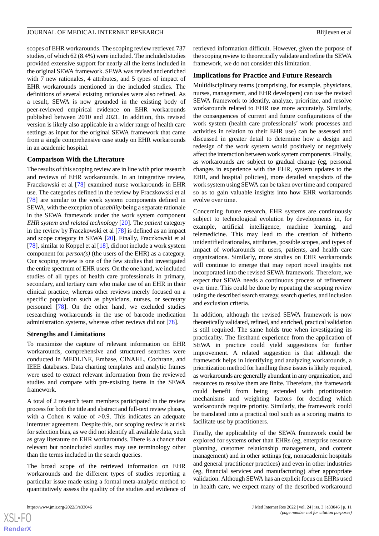scopes of EHR workarounds. The scoping review retrieved 737 studies, of which 62 (8.4%) were included. The included studies provided extensive support for nearly all the items included in the original SEWA framework. SEWA was revised and enriched with 7 new rationales, 4 attributes, and 5 types of impact of EHR workarounds mentioned in the included studies. The definitions of several existing rationales were also refined. As a result, SEWA is now grounded in the existing body of peer-reviewed empirical evidence on EHR workarounds published between 2010 and 2021. In addition, this revised version is likely also applicable in a wider range of health care settings as input for the original SEWA framework that came from a single comprehensive case study on EHR workarounds in an academic hospital.

#### **Comparison With the Literature**

The results of this scoping review are in line with prior research and reviews of EHR workarounds. In an integrative review, Fraczkowski et al [\[78](#page-14-17)] examined nurse workarounds in EHR use. The categories defined in the review by Fraczkowski et al [[78\]](#page-14-17) are similar to the work system components defined in SEWA, with the exception of *usability* being a separate rationale in the SEWA framework under the work system component *EHR system and related technology* [[20\]](#page-12-4). The *patient* category in the review by Fraczkowski et al [[78\]](#page-14-17) is defined as an impact and scope category in SEWA [[20\]](#page-12-4). Finally, Fraczkowski et al [[78\]](#page-14-17), similar to Koppel et al  $[18]$  $[18]$ , did not include a work system component for *person(s)* (the users of the EHR) as a category. Our scoping review is one of the few studies that investigated the entire spectrum of EHR users. On the one hand, we included studies of all types of health care professionals in primary, secondary, and tertiary care who make use of an EHR in their clinical practice, whereas other reviews merely focused on a specific population such as physicians, nurses, or secretary personnel [[78\]](#page-14-17). On the other hand, we excluded studies researching workarounds in the use of barcode medication administration systems, whereas other reviews did not [[78\]](#page-14-17).

#### **Strengths and Limitations**

To maximize the capture of relevant information on EHR workarounds, comprehensive and structured searches were conducted in MEDLINE, Embase, CINAHL, Cochrane, and IEEE databases. Data charting templates and analytic frames were used to extract relevant information from the reviewed studies and compare with pre-existing items in the SEWA framework.

A total of 2 research team members participated in the review process for both the title and abstract and full-text review phases, with a Cohen  $\kappa$  value of  $>0.9$ . This indicates an adequate interrater agreement. Despite this, our scoping review is at risk for selection bias, as we did not identify all available data, such as gray literature on EHR workarounds. There is a chance that relevant but nonincluded studies may use terminology other than the terms included in the search queries.

The broad scope of the retrieved information on EHR workarounds and the different types of studies reporting a particular issue made using a formal meta-analytic method to quantitatively assess the quality of the studies and evidence of

retrieved information difficult. However, given the purpose of the scoping review to theoretically validate and refine the SEWA framework, we do not consider this limitation.

#### **Implications for Practice and Future Research**

Multidisciplinary teams (comprising, for example, physicians, nurses, management, and EHR developers) can use the revised SEWA framework to identify, analyze, prioritize, and resolve workarounds related to EHR use more accurately. Similarly, the consequences of current and future configurations of the work system (health care professionals' work processes and activities in relation to their EHR use) can be assessed and discussed in greater detail to determine how a design and redesign of the work system would positively or negatively affect the interaction between work system components. Finally, as workarounds are subject to gradual change (eg, personal changes in experience with the EHR, system updates to the EHR, and hospital policies), more detailed snapshots of the work system using SEWA can be taken over time and compared so as to gain valuable insights into how EHR workarounds evolve over time.

Concerning future research, EHR systems are continuously subject to technological evolution by developments in, for example, artificial intelligence, machine learning, and telemedicine. This may lead to the creation of hitherto unidentified rationales, attributes, possible scopes, and types of impact of workarounds on users, patients, and health care organizations. Similarly, more studies on EHR workarounds will continue to emerge that may report novel insights not incorporated into the revised SEWA framework. Therefore, we expect that SEWA needs a continuous process of refinement over time. This could be done by repeating the scoping review using the described search strategy, search queries, and inclusion and exclusion criteria.

In addition, although the revised SEWA framework is now theoretically validated, refined, and enriched, practical validation is still required. The same holds true when investigating its practicality. The firsthand experience from the application of SEWA in practice could yield suggestions for further improvement. A related suggestion is that although the framework helps in identifying and analyzing workarounds, a prioritization method for handling these issues is likely required, as workarounds are generally abundant in any organization, and resources to resolve them are finite. Therefore, the framework could benefit from being extended with prioritization mechanisms and weighting factors for deciding which workarounds require priority. Similarly, the framework could be translated into a practical tool such as a scoring matrix to facilitate use by practitioners.

Finally, the applicability of the SEWA framework could be explored for systems other than EHRs (eg, enterprise resource planning, customer relationship management, and content management) and in other settings (eg, nonacademic hospitals and general practitioner practices) and even in other industries (eg, financial services and manufacturing) after appropriate validation. Although SEWA has an explicit focus on EHRs used in health care, we expect many of the described workaround

 $XS$ -FO **[RenderX](http://www.renderx.com/)**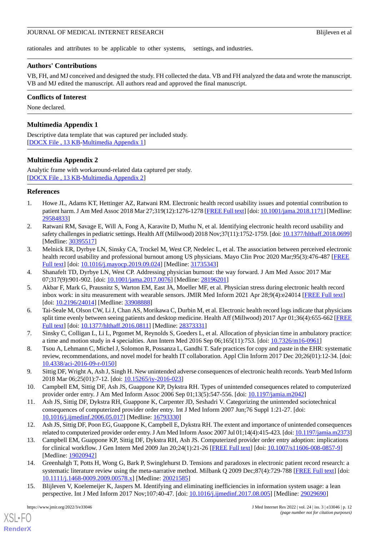rationales and attributes to be applicable to other systems, settings, and industries.

# **Authors' Contributions**

VB, FH, and MJ conceived and designed the study. FH collected the data. VB and FH analyzed the data and wrote the manuscript. VB and MJ edited the manuscript. All authors read and approved the final manuscript.

# **Conflicts of Interest**

<span id="page-11-11"></span>None declared.

# **Multimedia Appendix 1**

<span id="page-11-12"></span>Descriptive data template that was captured per included study. [[DOCX File , 13 KB](https://jmir.org/api/download?alt_name=jmir_v24i3e33046_app1.docx&filename=8d4714b6e32d2f19195a2a553bdf8f41.docx)-[Multimedia Appendix 1\]](https://jmir.org/api/download?alt_name=jmir_v24i3e33046_app1.docx&filename=8d4714b6e32d2f19195a2a553bdf8f41.docx)

# **Multimedia Appendix 2**

Analytic frame with workaround-related data captured per study. [[DOCX File , 13 KB](https://jmir.org/api/download?alt_name=jmir_v24i3e33046_app2.docx&filename=468e4ac36b4ac1806cbd97341576b51d.docx)-[Multimedia Appendix 2\]](https://jmir.org/api/download?alt_name=jmir_v24i3e33046_app2.docx&filename=468e4ac36b4ac1806cbd97341576b51d.docx)

# <span id="page-11-0"></span>**References**

- <span id="page-11-1"></span>1. Howe JL, Adams KT, Hettinger AZ, Ratwani RM. Electronic health record usability issues and potential contribution to patient harm. J Am Med Assoc 2018 Mar 27;319(12):1276-1278 [[FREE Full text\]](http://europepmc.org/abstract/MED/29584833) [doi: [10.1001/jama.2018.1171](http://dx.doi.org/10.1001/jama.2018.1171)] [Medline: [29584833](http://www.ncbi.nlm.nih.gov/entrez/query.fcgi?cmd=Retrieve&db=PubMed&list_uids=29584833&dopt=Abstract)]
- <span id="page-11-2"></span>2. Ratwani RM, Savage E, Will A, Fong A, Karavite D, Muthu N, et al. Identifying electronic health record usability and safety challenges in pediatric settings. Health Aff (Millwood) 2018 Nov;37(11):1752-1759. [doi: [10.1377/hlthaff.2018.0699\]](http://dx.doi.org/10.1377/hlthaff.2018.0699) [Medline: [30395517](http://www.ncbi.nlm.nih.gov/entrez/query.fcgi?cmd=Retrieve&db=PubMed&list_uids=30395517&dopt=Abstract)]
- <span id="page-11-4"></span><span id="page-11-3"></span>3. Melnick ER, Dyrbye LN, Sinsky CA, Trockel M, West CP, Nedelec L, et al. The association between perceived electronic health record usability and professional burnout among US physicians. Mayo Clin Proc 2020 Mar;95(3):476-487 [\[FREE](https://linkinghub.elsevier.com/retrieve/pii/S0025-6196(19)30836-5) [Full text\]](https://linkinghub.elsevier.com/retrieve/pii/S0025-6196(19)30836-5) [doi: [10.1016/j.mayocp.2019.09.024\]](http://dx.doi.org/10.1016/j.mayocp.2019.09.024) [Medline: [31735343\]](http://www.ncbi.nlm.nih.gov/entrez/query.fcgi?cmd=Retrieve&db=PubMed&list_uids=31735343&dopt=Abstract)
- <span id="page-11-5"></span>4. Shanafelt TD, Dyrbye LN, West CP. Addressing physician burnout: the way forward. J Am Med Assoc 2017 Mar 07;317(9):901-902. [doi: [10.1001/jama.2017.0076](http://dx.doi.org/10.1001/jama.2017.0076)] [Medline: [28196201\]](http://www.ncbi.nlm.nih.gov/entrez/query.fcgi?cmd=Retrieve&db=PubMed&list_uids=28196201&dopt=Abstract)
- 5. Akbar F, Mark G, Prausnitz S, Warton EM, East JA, Moeller MF, et al. Physician stress during electronic health record inbox work: in situ measurement with wearable sensors. JMIR Med Inform 2021 Apr 28;9(4):e24014 [\[FREE Full text\]](https://medinform.jmir.org/2021/4/e24014/) [doi: [10.2196/24014](http://dx.doi.org/10.2196/24014)] [Medline: [33908888\]](http://www.ncbi.nlm.nih.gov/entrez/query.fcgi?cmd=Retrieve&db=PubMed&list_uids=33908888&dopt=Abstract)
- <span id="page-11-7"></span><span id="page-11-6"></span>6. Tai-Seale M, Olson CW, Li J, Chan AS, Morikawa C, Durbin M, et al. Electronic health record logs indicate that physicians split time evenly between seeing patients and desktop medicine. Health Aff (Millwood) 2017 Apr 01;36(4):655-662 [\[FREE](http://europepmc.org/abstract/MED/28373331) [Full text\]](http://europepmc.org/abstract/MED/28373331) [doi: [10.1377/hlthaff.2016.0811\]](http://dx.doi.org/10.1377/hlthaff.2016.0811) [Medline: [28373331\]](http://www.ncbi.nlm.nih.gov/entrez/query.fcgi?cmd=Retrieve&db=PubMed&list_uids=28373331&dopt=Abstract)
- <span id="page-11-8"></span>7. Sinsky C, Colligan L, Li L, Prgomet M, Reynolds S, Goeders L, et al. Allocation of physician time in ambulatory practice: a time and motion study in 4 specialties. Ann Intern Med 2016 Sep 06;165(11):753. [doi: [10.7326/m16-0961](http://dx.doi.org/10.7326/m16-0961)]
- <span id="page-11-9"></span>8. Tsou A, Lehmann C, Michel J, Solomon R, Possanza L, Gandhi T. Safe practices for copy and paste in the EHR: systematic review, recommendations, and novel model for health IT collaboration. Appl Clin Inform 2017 Dec 20;26(01):12-34. [doi: [10.4338/aci-2016-09-r-0150\]](http://dx.doi.org/10.4338/aci-2016-09-r-0150)
- 9. Sittig DF, Wright A, Ash J, Singh H. New unintended adverse consequences of electronic health records. Yearb Med Inform 2018 Mar 06;25(01):7-12. [doi: [10.15265/iy-2016-023\]](http://dx.doi.org/10.15265/iy-2016-023)
- 10. Campbell EM, Sittig DF, Ash JS, Guappone KP, Dykstra RH. Types of unintended consequences related to computerized provider order entry. J Am Med Inform Assoc 2006 Sep 01;13(5):547-556. [doi: [10.1197/jamia.m2042\]](http://dx.doi.org/10.1197/jamia.m2042)
- 11. Ash JS, Sittig DF, Dykstra RH, Guappone K, Carpenter JD, Seshadri V. Categorizing the unintended sociotechnical consequences of computerized provider order entry. Int J Med Inform 2007 Jun;76 Suppl 1:21-27. [doi: [10.1016/j.ijmedinf.2006.05.017\]](http://dx.doi.org/10.1016/j.ijmedinf.2006.05.017) [Medline: [16793330](http://www.ncbi.nlm.nih.gov/entrez/query.fcgi?cmd=Retrieve&db=PubMed&list_uids=16793330&dopt=Abstract)]
- 12. Ash JS, Sittig DF, Poon EG, Guappone K, Campbell E, Dykstra RH. The extent and importance of unintended consequences related to computerized provider order entry. J Am Med Inform Assoc 2007 Jul 01;14(4):415-423. [doi: [10.1197/jamia.m2373\]](http://dx.doi.org/10.1197/jamia.m2373)
- <span id="page-11-10"></span>13. Campbell EM, Guappone KP, Sittig DF, Dykstra RH, Ash JS. Computerized provider order entry adoption: implications for clinical workflow. J Gen Intern Med 2009 Jan 20;24(1):21-26 [[FREE Full text](http://europepmc.org/abstract/MED/19020942)] [doi: [10.1007/s11606-008-0857-9\]](http://dx.doi.org/10.1007/s11606-008-0857-9) [Medline: [19020942](http://www.ncbi.nlm.nih.gov/entrez/query.fcgi?cmd=Retrieve&db=PubMed&list_uids=19020942&dopt=Abstract)]
- 14. Greenhalgh T, Potts H, Wong G, Bark P, Swinglehurst D. Tensions and paradoxes in electronic patient record research: a systematic literature review using the meta-narrative method. Milbank Q 2009 Dec;87(4):729-788 [\[FREE Full text\]](http://europepmc.org/abstract/MED/20021585) [doi: [10.1111/j.1468-0009.2009.00578.x\]](http://dx.doi.org/10.1111/j.1468-0009.2009.00578.x) [Medline: [20021585\]](http://www.ncbi.nlm.nih.gov/entrez/query.fcgi?cmd=Retrieve&db=PubMed&list_uids=20021585&dopt=Abstract)
- 15. Blijleven V, Koelemeijer K, Jaspers M. Identifying and eliminating inefficiencies in information system usage: a lean perspective. Int J Med Inform 2017 Nov;107:40-47. [doi: [10.1016/j.ijmedinf.2017.08.005\]](http://dx.doi.org/10.1016/j.ijmedinf.2017.08.005) [Medline: [29029690](http://www.ncbi.nlm.nih.gov/entrez/query.fcgi?cmd=Retrieve&db=PubMed&list_uids=29029690&dopt=Abstract)]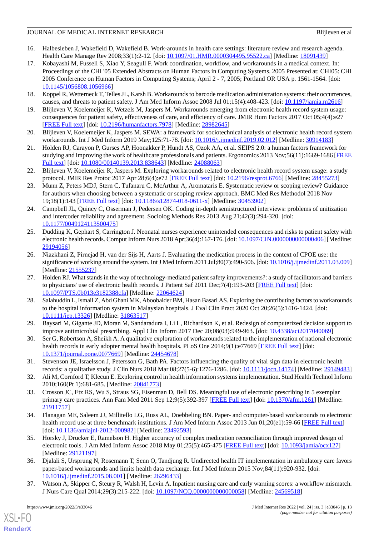- <span id="page-12-0"></span>16. Halbesleben J, Wakefield D, Wakefield B. Work-arounds in health care settings: literature review and research agenda. Health Care Manage Rev 2008;33(1):2-12. [doi: [10.1097/01.HMR.0000304495.95522.ca](http://dx.doi.org/10.1097/01.HMR.0000304495.95522.ca)] [Medline: [18091439\]](http://www.ncbi.nlm.nih.gov/entrez/query.fcgi?cmd=Retrieve&db=PubMed&list_uids=18091439&dopt=Abstract)
- <span id="page-12-1"></span>17. Kobayashi M, Fussell S, Xiao Y, Seagull F. Work coordination, workflow, and workarounds in a medical context. In: Proceedings of the CHI '05 Extended Abstracts on Human Factors in Computing Systems. 2005 Presented at: CHI05: CHI 2005 Conference on Human Factors in Computing Systems; April 2 - 7, 2005; Portland OR USA p. 1561-1564. [doi: [10.1145/1056808.1056966](http://dx.doi.org/10.1145/1056808.1056966)]
- <span id="page-12-3"></span><span id="page-12-2"></span>18. Koppel R, Wetterneck T, Telles JL, Karsh B. Workarounds to barcode medication administration systems: their occurrences, causes, and threats to patient safety. J Am Med Inform Assoc 2008 Jul 01;15(4):408-423. [doi: [10.1197/jamia.m2616](http://dx.doi.org/10.1197/jamia.m2616)]
- <span id="page-12-4"></span>19. Blijleven V, Koelemeijer K, Wetzels M, Jaspers M. Workarounds emerging from electronic health record system usage: consequences for patient safety, effectiveness of care, and efficiency of care. JMIR Hum Factors 2017 Oct 05;4(4):e27 [[FREE Full text](https://humanfactors.jmir.org/2017/4/e27/)] [doi: [10.2196/humanfactors.7978\]](http://dx.doi.org/10.2196/humanfactors.7978) [Medline: [28982645](http://www.ncbi.nlm.nih.gov/entrez/query.fcgi?cmd=Retrieve&db=PubMed&list_uids=28982645&dopt=Abstract)]
- <span id="page-12-5"></span>20. Blijleven V, Koelemeijer K, Jaspers M. SEWA: a framework for sociotechnical analysis of electronic health record system workarounds. Int J Med Inform 2019 May;125:71-78. [doi: [10.1016/j.ijmedinf.2019.02.012\]](http://dx.doi.org/10.1016/j.ijmedinf.2019.02.012) [Medline: [30914183\]](http://www.ncbi.nlm.nih.gov/entrez/query.fcgi?cmd=Retrieve&db=PubMed&list_uids=30914183&dopt=Abstract)
- <span id="page-12-6"></span>21. Holden RJ, Carayon P, Gurses AP, Hoonakker P, Hundt AS, Ozok AA, et al. SEIPS 2.0: a human factors framework for studying and improving the work of healthcare professionals and patients. Ergonomics 2013 Nov;56(11):1669-1686 [\[FREE](http://europepmc.org/abstract/MED/24088063) [Full text\]](http://europepmc.org/abstract/MED/24088063) [doi: [10.1080/00140139.2013.838643\]](http://dx.doi.org/10.1080/00140139.2013.838643) [Medline: [24088063](http://www.ncbi.nlm.nih.gov/entrez/query.fcgi?cmd=Retrieve&db=PubMed&list_uids=24088063&dopt=Abstract)]
- <span id="page-12-7"></span>22. Blijleven V, Koelemeijer K, Jaspers M. Exploring workarounds related to electronic health record system usage: a study protocol. JMIR Res Protoc 2017 Apr 28;6(4):e72 [\[FREE Full text\]](https://www.researchprotocols.org/2017/4/e72/) [doi: [10.2196/resprot.6766](http://dx.doi.org/10.2196/resprot.6766)] [Medline: [28455273](http://www.ncbi.nlm.nih.gov/entrez/query.fcgi?cmd=Retrieve&db=PubMed&list_uids=28455273&dopt=Abstract)]
- <span id="page-12-8"></span>23. Munn Z, Peters MDJ, Stern C, Tufanaru C, McArthur A, Aromataris E. Systematic review or scoping review? Guidance for authors when choosing between a systematic or scoping review approach. BMC Med Res Methodol 2018 Nov 19;18(1):143 [[FREE Full text\]](https://bmcmedresmethodol.biomedcentral.com/articles/10.1186/s12874-018-0611-x) [doi: [10.1186/s12874-018-0611-x](http://dx.doi.org/10.1186/s12874-018-0611-x)] [Medline: [30453902](http://www.ncbi.nlm.nih.gov/entrez/query.fcgi?cmd=Retrieve&db=PubMed&list_uids=30453902&dopt=Abstract)]
- <span id="page-12-9"></span>24. Campbell JL, Quincy C, Osserman J, Pedersen OK. Coding in-depth semistructured interviews: problems of unitization and intercoder reliability and agreement. Sociolog Methods Res 2013 Aug 21;42(3):294-320. [doi: [10.1177/0049124113500475\]](http://dx.doi.org/10.1177/0049124113500475)
- <span id="page-12-10"></span>25. Dudding K, Gephart S, Carrington J. Neonatal nurses experience unintended consequences and risks to patient safety with electronic health records. Comput Inform Nurs 2018 Apr;36(4):167-176. [doi: [10.1097/CIN.0000000000000406](http://dx.doi.org/10.1097/CIN.0000000000000406)] [Medline: [29194056](http://www.ncbi.nlm.nih.gov/entrez/query.fcgi?cmd=Retrieve&db=PubMed&list_uids=29194056&dopt=Abstract)]
- <span id="page-12-12"></span>26. Niazkhani Z, Pirnejad H, van der Sijs H, Aarts J. Evaluating the medication process in the context of CPOE use: the significance of working around the system. Int J Med Inform 2011 Jul;80(7):490-506. [doi: [10.1016/j.ijmedinf.2011.03.009\]](http://dx.doi.org/10.1016/j.ijmedinf.2011.03.009) [Medline: [21555237](http://www.ncbi.nlm.nih.gov/entrez/query.fcgi?cmd=Retrieve&db=PubMed&list_uids=21555237&dopt=Abstract)]
- <span id="page-12-11"></span>27. Holden RJ. What stands in the way of technology-mediated patient safety improvements?: a study of facilitators and barriers to physicians' use of electronic health records. J Patient Saf 2011 Dec;7(4):193-203 [[FREE Full text\]](http://europepmc.org/abstract/MED/22064624) [doi: [10.1097/PTS.0b013e3182388cfa](http://dx.doi.org/10.1097/PTS.0b013e3182388cfa)] [Medline: [22064624\]](http://www.ncbi.nlm.nih.gov/entrez/query.fcgi?cmd=Retrieve&db=PubMed&list_uids=22064624&dopt=Abstract)
- <span id="page-12-15"></span><span id="page-12-13"></span>28. Salahuddin L, Ismail Z, Abd Ghani MK, Aboobaider BM, Hasan Basari AS. Exploring the contributing factors to workarounds to the hospital information system in Malaysian hospitals. J Eval Clin Pract 2020 Oct 20;26(5):1416-1424. [doi: [10.1111/jep.13326\]](http://dx.doi.org/10.1111/jep.13326) [Medline: [31863517](http://www.ncbi.nlm.nih.gov/entrez/query.fcgi?cmd=Retrieve&db=PubMed&list_uids=31863517&dopt=Abstract)]
- <span id="page-12-14"></span>29. Baysari M, Gigante JD, Moran M, Sandaradura I, Li L, Richardson K, et al. Redesign of computerized decision support to improve antimicrobial prescribing. Appl Clin Inform 2017 Dec 20;08(03):949-963. [doi: [10.4338/aci2017040069](http://dx.doi.org/10.4338/aci2017040069)]
- <span id="page-12-16"></span>30. Ser G, Robertson A, Sheikh A. A qualitative exploration of workarounds related to the implementation of national electronic health records in early adopter mental health hospitals. PLoS One 2014;9(1):e77669 [\[FREE Full text\]](http://dx.plos.org/10.1371/journal.pone.0077669) [doi: [10.1371/journal.pone.0077669\]](http://dx.doi.org/10.1371/journal.pone.0077669) [Medline: [24454678](http://www.ncbi.nlm.nih.gov/entrez/query.fcgi?cmd=Retrieve&db=PubMed&list_uids=24454678&dopt=Abstract)]
- <span id="page-12-17"></span>31. Stevenson JE, Israelsson J, Petersson G, Bath PA. Factors influencing the quality of vital sign data in electronic health records: a qualitative study. J Clin Nurs 2018 Mar 08;27(5-6):1276-1286. [doi: [10.1111/jocn.14174\]](http://dx.doi.org/10.1111/jocn.14174) [Medline: [29149483](http://www.ncbi.nlm.nih.gov/entrez/query.fcgi?cmd=Retrieve&db=PubMed&list_uids=29149483&dopt=Abstract)]
- <span id="page-12-18"></span>32. Ali M, Cornford T, Klecun E. Exploring control in health information systems implementation. Stud Health Technol Inform 2010;160(Pt 1):681-685. [Medline: [20841773\]](http://www.ncbi.nlm.nih.gov/entrez/query.fcgi?cmd=Retrieve&db=PubMed&list_uids=20841773&dopt=Abstract)
- <span id="page-12-20"></span>33. Crosson JC, Etz RS, Wu S, Straus SG, Eisenman D, Bell DS. Meaningful use of electronic prescribing in 5 exemplar primary care practices. Ann Fam Med 2011 Sep 12;9(5):392-397 [\[FREE Full text\]](http://www.annfammed.org/cgi/pmidlookup?view=long&pmid=21911757) [doi: [10.1370/afm.1261](http://dx.doi.org/10.1370/afm.1261)] [Medline: [21911757](http://www.ncbi.nlm.nih.gov/entrez/query.fcgi?cmd=Retrieve&db=PubMed&list_uids=21911757&dopt=Abstract)]
- <span id="page-12-19"></span>34. Flanagan ME, Saleem JJ, Millitello LG, Russ AL, Doebbeling BN. Paper- and computer-based workarounds to electronic health record use at three benchmark institutions. J Am Med Inform Assoc 2013 Jun 01;20(e1):59-66 [[FREE Full text\]](http://europepmc.org/abstract/MED/23492593) [doi: [10.1136/amiajnl-2012-000982\]](http://dx.doi.org/10.1136/amiajnl-2012-000982) [Medline: [23492593\]](http://www.ncbi.nlm.nih.gov/entrez/query.fcgi?cmd=Retrieve&db=PubMed&list_uids=23492593&dopt=Abstract)
- <span id="page-12-21"></span>35. Horsky J, Drucker E, Ramelson H. Higher accuracy of complex medication reconciliation through improved design of electronic tools. J Am Med Inform Assoc 2018 May 01;25(5):465-475 [\[FREE Full text\]](http://europepmc.org/abstract/MED/29121197) [doi: [10.1093/jamia/ocx127\]](http://dx.doi.org/10.1093/jamia/ocx127) [Medline: [29121197](http://www.ncbi.nlm.nih.gov/entrez/query.fcgi?cmd=Retrieve&db=PubMed&list_uids=29121197&dopt=Abstract)]
- 36. Djalali S, Ursprung N, Rosemann T, Senn O, Tandjung R. Undirected health IT implementation in ambulatory care favors paper-based workarounds and limits health data exchange. Int J Med Inform 2015 Nov;84(11):920-932. [doi: [10.1016/j.ijmedinf.2015.08.001\]](http://dx.doi.org/10.1016/j.ijmedinf.2015.08.001) [Medline: [26296433](http://www.ncbi.nlm.nih.gov/entrez/query.fcgi?cmd=Retrieve&db=PubMed&list_uids=26296433&dopt=Abstract)]
- 37. Watson A, Skipper C, Steury R, Walsh H, Levin A. Inpatient nursing care and early warning scores: a workflow mismatch. J Nurs Care Qual 2014;29(3):215-222. [doi: [10.1097/NCQ.0000000000000058](http://dx.doi.org/10.1097/NCQ.0000000000000058)] [Medline: [24569518\]](http://www.ncbi.nlm.nih.gov/entrez/query.fcgi?cmd=Retrieve&db=PubMed&list_uids=24569518&dopt=Abstract)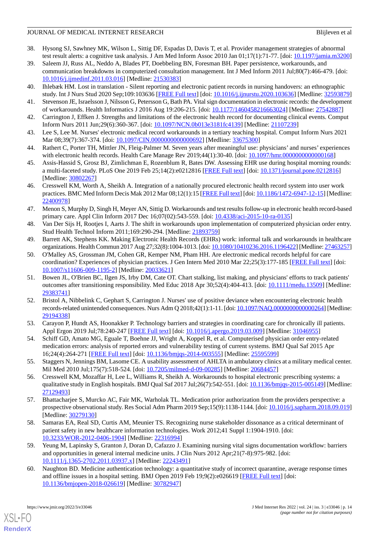- 38. Hysong SJ, Sawhney MK, Wilson L, Sittig DF, Espadas D, Davis T, et al. Provider management strategies of abnormal test result alerts: a cognitive task analysis. J Am Med Inform Assoc 2010 Jan 01;17(1):71-77. [doi: [10.1197/jamia.m3200](http://dx.doi.org/10.1197/jamia.m3200)]
- <span id="page-13-0"></span>39. Saleem JJ, Russ AL, Neddo A, Blades PT, Doebbeling BN, Foresman BH. Paper persistence, workarounds, and communication breakdowns in computerized consultation management. Int J Med Inform 2011 Jul;80(7):466-479. [doi: [10.1016/j.ijmedinf.2011.03.016\]](http://dx.doi.org/10.1016/j.ijmedinf.2011.03.016) [Medline: [21530383](http://www.ncbi.nlm.nih.gov/entrez/query.fcgi?cmd=Retrieve&db=PubMed&list_uids=21530383&dopt=Abstract)]
- <span id="page-13-2"></span><span id="page-13-1"></span>40. Ihlebæk HM. Lost in translation - Silent reporting and electronic patient records in nursing handovers: an ethnographic study. Int J Nurs Stud 2020 Sep;109:103636 [\[FREE Full text\]](https://linkinghub.elsevier.com/retrieve/pii/S0020-7489(20)30120-6) [doi: [10.1016/j.ijnurstu.2020.103636\]](http://dx.doi.org/10.1016/j.ijnurstu.2020.103636) [Medline: [32593879](http://www.ncbi.nlm.nih.gov/entrez/query.fcgi?cmd=Retrieve&db=PubMed&list_uids=32593879&dopt=Abstract)]
- <span id="page-13-3"></span>41. Stevenson JE, Israelsson J, Nilsson G, Petersson G, Bath PA. Vital sign documentation in electronic records: the development of workarounds. Health Informatics J 2016 Aug 19:206-215. [doi: [10.1177/1460458216663024\]](http://dx.doi.org/10.1177/1460458216663024) [Medline: [27542887](http://www.ncbi.nlm.nih.gov/entrez/query.fcgi?cmd=Retrieve&db=PubMed&list_uids=27542887&dopt=Abstract)]
- <span id="page-13-4"></span>42. Carrington J, Effken J. Strengths and limitations of the electronic health record for documenting clinical events. Comput Inform Nurs 2011 Jun;29(6):360-367. [doi: [10.1097/NCN.0b013e3181fc4139](http://dx.doi.org/10.1097/NCN.0b013e3181fc4139)] [Medline: [21107239\]](http://www.ncbi.nlm.nih.gov/entrez/query.fcgi?cmd=Retrieve&db=PubMed&list_uids=21107239&dopt=Abstract)
- <span id="page-13-5"></span>43. Lee S, Lee M. Nurses' electronic medical record workarounds in a tertiary teaching hospital. Comput Inform Nurs 2021 Mar 08;39(7):367-374. [doi: [10.1097/CIN.0000000000000692\]](http://dx.doi.org/10.1097/CIN.0000000000000692) [Medline: [33675300](http://www.ncbi.nlm.nih.gov/entrez/query.fcgi?cmd=Retrieve&db=PubMed&list_uids=33675300&dopt=Abstract)]
- <span id="page-13-6"></span>44. Rathert C, Porter TH, Mittler JN, Fleig-Palmer M. Seven years after meaningful use: physicians' and nurses' experiences with electronic health records. Health Care Manage Rev 2019;44(1):30-40. [doi: [10.1097/hmr.0000000000000168\]](http://dx.doi.org/10.1097/hmr.0000000000000168)
- <span id="page-13-11"></span>45. Assis-Hassid S, Grosz BJ, Zimlichman E, Rozenblum R, Bates DW. Assessing EHR use during hospital morning rounds: a multi-faceted study. PLoS One 2019 Feb 25;14(2):e0212816 [[FREE Full text](https://dx.plos.org/10.1371/journal.pone.0212816)] [doi: [10.1371/journal.pone.0212816](http://dx.doi.org/10.1371/journal.pone.0212816)] [Medline: [30802267](http://www.ncbi.nlm.nih.gov/entrez/query.fcgi?cmd=Retrieve&db=PubMed&list_uids=30802267&dopt=Abstract)]
- <span id="page-13-7"></span>46. Cresswell KM, Worth A, Sheikh A. Integration of a nationally procured electronic health record system into user work practices. BMC Med Inform Decis Mak 2012 Mar 08;12(1):15 [[FREE Full text\]](https://bmcmedinformdecismak.biomedcentral.com/articles/10.1186/1472-6947-12-15) [doi: [10.1186/1472-6947-12-15](http://dx.doi.org/10.1186/1472-6947-12-15)] [Medline: [22400978](http://www.ncbi.nlm.nih.gov/entrez/query.fcgi?cmd=Retrieve&db=PubMed&list_uids=22400978&dopt=Abstract)]
- <span id="page-13-9"></span><span id="page-13-8"></span>47. Menon S, Murphy D, Singh H, Meyer AN, Sittig D. Workarounds and test results follow-up in electronic health record-based primary care. Appl Clin Inform 2017 Dec 16;07(02):543-559. [doi: [10.4338/aci-2015-10-ra-0135\]](http://dx.doi.org/10.4338/aci-2015-10-ra-0135)
- <span id="page-13-10"></span>48. Van Der Sijs H, Rootjes I, Aarts J. The shift in workarounds upon implementation of computerized physician order entry. Stud Health Technol Inform 2011;169:290-294. [Medline: [21893759](http://www.ncbi.nlm.nih.gov/entrez/query.fcgi?cmd=Retrieve&db=PubMed&list_uids=21893759&dopt=Abstract)]
- 49. Barrett AK, Stephens KK. Making Electronic Health Records (EHRs) work: informal talk and workarounds in healthcare organizations. Health Commun 2017 Aug 27;32(8):1004-1013. [doi: [10.1080/10410236.2016.1196422\]](http://dx.doi.org/10.1080/10410236.2016.1196422) [Medline: [27463257\]](http://www.ncbi.nlm.nih.gov/entrez/query.fcgi?cmd=Retrieve&db=PubMed&list_uids=27463257&dopt=Abstract)
- <span id="page-13-13"></span>50. O'Malley AS, Grossman JM, Cohen GR, Kemper NM, Pham HH. Are electronic medical records helpful for care coordination? Experiences of physician practices. J Gen Intern Med 2010 Mar 22;25(3):177-185 [\[FREE Full text\]](http://europepmc.org/abstract/MED/20033621) [doi: [10.1007/s11606-009-1195-2\]](http://dx.doi.org/10.1007/s11606-009-1195-2) [Medline: [20033621](http://www.ncbi.nlm.nih.gov/entrez/query.fcgi?cmd=Retrieve&db=PubMed&list_uids=20033621&dopt=Abstract)]
- <span id="page-13-21"></span>51. Bowen JL, O'Brien BC, Ilgen JS, Irby DM, Cate OT. Chart stalking, list making, and physicians' efforts to track patients' outcomes after transitioning responsibility. Med Educ 2018 Apr 30;52(4):404-413. [doi: [10.1111/medu.13509](http://dx.doi.org/10.1111/medu.13509)] [Medline: [29383741](http://www.ncbi.nlm.nih.gov/entrez/query.fcgi?cmd=Retrieve&db=PubMed&list_uids=29383741&dopt=Abstract)]
- <span id="page-13-16"></span><span id="page-13-14"></span>52. Bristol A, Nibbelink C, Gephart S, Carrington J. Nurses' use of positive deviance when encountering electronic health records-related unintended consequences. Nurs Adm Q 2018;42(1):1-11. [doi: [10.1097/NAQ.0000000000000264\]](http://dx.doi.org/10.1097/NAQ.0000000000000264) [Medline: [29194338](http://www.ncbi.nlm.nih.gov/entrez/query.fcgi?cmd=Retrieve&db=PubMed&list_uids=29194338&dopt=Abstract)]
- <span id="page-13-15"></span>53. Carayon P, Hundt AS, Hoonakker P. Technology barriers and strategies in coordinating care for chronically ill patients. Appl Ergon 2019 Jul;78:240-247 [[FREE Full text](http://europepmc.org/abstract/MED/31046955)] [doi: [10.1016/j.apergo.2019.03.009](http://dx.doi.org/10.1016/j.apergo.2019.03.009)] [Medline: [31046955](http://www.ncbi.nlm.nih.gov/entrez/query.fcgi?cmd=Retrieve&db=PubMed&list_uids=31046955&dopt=Abstract)]
- <span id="page-13-12"></span>54. Schiff GD, Amato MG, Eguale T, Boehne JJ, Wright A, Koppel R, et al. Computerised physician order entry-related medication errors: analysis of reported errors and vulnerability testing of current systems. BMJ Qual Saf 2015 Apr 16;24(4):264-271 [[FREE Full text](http://qualitysafety.bmj.com/lookup/pmidlookup?view=long&pmid=25595599)] [doi: [10.1136/bmjqs-2014-003555\]](http://dx.doi.org/10.1136/bmjqs-2014-003555) [Medline: [25595599\]](http://www.ncbi.nlm.nih.gov/entrez/query.fcgi?cmd=Retrieve&db=PubMed&list_uids=25595599&dopt=Abstract)
- <span id="page-13-17"></span>55. Staggers N, Jennings BM, Lasome CE. A usability assessment of AHLTA in ambulatory clinics at a military medical center. Mil Med 2010 Jul;175(7):518-524. [doi: [10.7205/milmed-d-09-00285](http://dx.doi.org/10.7205/milmed-d-09-00285)] [Medline: [20684457](http://www.ncbi.nlm.nih.gov/entrez/query.fcgi?cmd=Retrieve&db=PubMed&list_uids=20684457&dopt=Abstract)]
- <span id="page-13-18"></span>56. Cresswell KM, Mozaffar H, Lee L, Williams R, Sheikh A. Workarounds to hospital electronic prescribing systems: a qualitative study in English hospitals. BMJ Qual Saf 2017 Jul;26(7):542-551. [doi: [10.1136/bmjqs-2015-005149](http://dx.doi.org/10.1136/bmjqs-2015-005149)] [Medline: [27129493](http://www.ncbi.nlm.nih.gov/entrez/query.fcgi?cmd=Retrieve&db=PubMed&list_uids=27129493&dopt=Abstract)]
- <span id="page-13-19"></span>57. Bhattacharjee S, Murcko AC, Fair MK, Warholak TL. Medication prior authorization from the providers perspective: a prospective observational study. Res Social Adm Pharm 2019 Sep;15(9):1138-1144. [doi: [10.1016/j.sapharm.2018.09.019](http://dx.doi.org/10.1016/j.sapharm.2018.09.019)] [Medline: [30279130](http://www.ncbi.nlm.nih.gov/entrez/query.fcgi?cmd=Retrieve&db=PubMed&list_uids=30279130&dopt=Abstract)]
- <span id="page-13-20"></span>58. Samaras EA, Real SD, Curtis AM, Meunier TS. Recognizing nurse stakeholder dissonance as a critical determinant of patient safety in new healthcare information technologies. Work 2012;41 Suppl 1:1904-1910. [doi: [10.3233/WOR-2012-0406-1904](http://dx.doi.org/10.3233/WOR-2012-0406-1904)] [Medline: [22316994\]](http://www.ncbi.nlm.nih.gov/entrez/query.fcgi?cmd=Retrieve&db=PubMed&list_uids=22316994&dopt=Abstract)
- 59. Yeung M, Lapinsky S, Granton J, Doran D, Cafazzo J. Examining nursing vital signs documentation workflow: barriers and opportunities in general internal medicine units. J Clin Nurs 2012 Apr;21(7-8):975-982. [doi: [10.1111/j.1365-2702.2011.03937.x\]](http://dx.doi.org/10.1111/j.1365-2702.2011.03937.x) [Medline: [22243491\]](http://www.ncbi.nlm.nih.gov/entrez/query.fcgi?cmd=Retrieve&db=PubMed&list_uids=22243491&dopt=Abstract)
- 60. Naughton BD. Medicine authentication technology: a quantitative study of incorrect quarantine, average response times and offline issues in a hospital setting. BMJ Open 2019 Feb 19;9(2):e026619 [\[FREE Full text\]](https://bmjopen.bmj.com/lookup/pmidlookup?view=long&pmid=30782947) [doi: [10.1136/bmjopen-2018-026619\]](http://dx.doi.org/10.1136/bmjopen-2018-026619) [Medline: [30782947](http://www.ncbi.nlm.nih.gov/entrez/query.fcgi?cmd=Retrieve&db=PubMed&list_uids=30782947&dopt=Abstract)]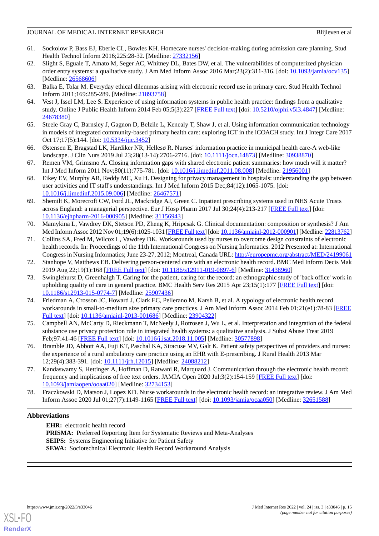- <span id="page-14-0"></span>61. Sockolow P, Bass EJ, Eberle CL, Bowles KH. Homecare nurses' decision-making during admission care planning. Stud Health Technol Inform 2016;225:28-32. [Medline: [27332156](http://www.ncbi.nlm.nih.gov/entrez/query.fcgi?cmd=Retrieve&db=PubMed&list_uids=27332156&dopt=Abstract)]
- <span id="page-14-1"></span>62. Slight S, Eguale T, Amato M, Seger AC, Whitney DL, Bates DW, et al. The vulnerabilities of computerized physician order entry systems: a qualitative study. J Am Med Inform Assoc 2016 Mar;23(2):311-316. [doi: [10.1093/jamia/ocv135](http://dx.doi.org/10.1093/jamia/ocv135)] [Medline: [26568606](http://www.ncbi.nlm.nih.gov/entrez/query.fcgi?cmd=Retrieve&db=PubMed&list_uids=26568606&dopt=Abstract)]
- <span id="page-14-3"></span><span id="page-14-2"></span>63. Balka E, Tolar M. Everyday ethical dilemmas arising with electronic record use in primary care. Stud Health Technol Inform 2011;169:285-289. [Medline: [21893758\]](http://www.ncbi.nlm.nih.gov/entrez/query.fcgi?cmd=Retrieve&db=PubMed&list_uids=21893758&dopt=Abstract)
- <span id="page-14-5"></span>64. Vest J, Issel LM, Lee S. Experience of using information systems in public health practice: findings from a qualitative study. Online J Public Health Inform 2014 Feb 05;5(3):227 [\[FREE Full text\]](http://europepmc.org/abstract/MED/24678380) [doi: [10.5210/ojphi.v5i3.4847\]](http://dx.doi.org/10.5210/ojphi.v5i3.4847) [Medline: [24678380](http://www.ncbi.nlm.nih.gov/entrez/query.fcgi?cmd=Retrieve&db=PubMed&list_uids=24678380&dopt=Abstract)]
- <span id="page-14-11"></span>65. Steele Gray C, Barnsley J, Gagnon D, Belzile L, Kenealy T, Shaw J, et al. Using information communication technology in models of integrated community-based primary health care: exploring ICT in the iCOACH study. Int J Integr Care 2017 Oct 17;17(5):144. [doi: [10.5334/ijic.3452\]](http://dx.doi.org/10.5334/ijic.3452)
- <span id="page-14-4"></span>66. Østensen E, Bragstad LK, Hardiker NR, Hellesø R. Nurses' information practice in municipal health care-A web-like landscape. J Clin Nurs 2019 Jul 23;28(13-14):2706-2716. [doi: [10.1111/jocn.14873\]](http://dx.doi.org/10.1111/jocn.14873) [Medline: [30938870\]](http://www.ncbi.nlm.nih.gov/entrez/query.fcgi?cmd=Retrieve&db=PubMed&list_uids=30938870&dopt=Abstract)
- <span id="page-14-6"></span>67. Remen VM, Grimsmo A. Closing information gaps with shared electronic patient summaries: how much will it matter? Int J Med Inform 2011 Nov;80(11):775-781. [doi: [10.1016/j.ijmedinf.2011.08.008](http://dx.doi.org/10.1016/j.ijmedinf.2011.08.008)] [Medline: [21956001\]](http://www.ncbi.nlm.nih.gov/entrez/query.fcgi?cmd=Retrieve&db=PubMed&list_uids=21956001&dopt=Abstract)
- <span id="page-14-16"></span>68. Eikey EV, Murphy AR, Reddy MC, Xu H. Designing for privacy management in hospitals: understanding the gap between user activities and IT staff's understandings. Int J Med Inform 2015 Dec;84(12):1065-1075. [doi: [10.1016/j.ijmedinf.2015.09.006\]](http://dx.doi.org/10.1016/j.ijmedinf.2015.09.006) [Medline: [26467571](http://www.ncbi.nlm.nih.gov/entrez/query.fcgi?cmd=Retrieve&db=PubMed&list_uids=26467571&dopt=Abstract)]
- <span id="page-14-7"></span>69. Shemilt K, Morecroft CW, Ford JL, Mackridge AJ, Green C. Inpatient prescribing systems used in NHS Acute Trusts across England: a managerial perspective. Eur J Hosp Pharm 2017 Jul 30;24(4):213-217 [\[FREE Full text\]](https://ejhp.bmj.com/lookup/pmidlookup?view=long&pmid=31156943) [doi: [10.1136/ejhpharm-2016-000905](http://dx.doi.org/10.1136/ejhpharm-2016-000905)] [Medline: [31156943](http://www.ncbi.nlm.nih.gov/entrez/query.fcgi?cmd=Retrieve&db=PubMed&list_uids=31156943&dopt=Abstract)]
- <span id="page-14-8"></span>70. Mamykina L, Vawdrey DK, Stetson PD, Zheng K, Hripcsak G. Clinical documentation: composition or synthesis? J Am Med Inform Assoc 2012 Nov 01;19(6):1025-1031 [\[FREE Full text\]](http://europepmc.org/abstract/MED/22813762) [doi: [10.1136/amiajnl-2012-000901](http://dx.doi.org/10.1136/amiajnl-2012-000901)] [Medline: [22813762\]](http://www.ncbi.nlm.nih.gov/entrez/query.fcgi?cmd=Retrieve&db=PubMed&list_uids=22813762&dopt=Abstract)
- <span id="page-14-10"></span><span id="page-14-9"></span>71. Collins SA, Fred M, Wilcox L, Vawdrey DK. Workarounds used by nurses to overcome design constraints of electronic health records. In: Proceedings of the 11th International Congress on Nursing Informatics. 2012 Presented at: International Congress in Nursing Informatics; June 23-27, 2012; Montreal, Canada URL:<http://europepmc.org/abstract/MED/24199061>
- 72. Stanhope V, Matthews EB. Delivering person-centered care with an electronic health record. BMC Med Inform Decis Mak 2019 Aug 22;19(1):168 [[FREE Full text](https://bmcmedinformdecismak.biomedcentral.com/articles/10.1186/s12911-019-0897-6)] [doi: [10.1186/s12911-019-0897-6\]](http://dx.doi.org/10.1186/s12911-019-0897-6) [Medline: [31438960](http://www.ncbi.nlm.nih.gov/entrez/query.fcgi?cmd=Retrieve&db=PubMed&list_uids=31438960&dopt=Abstract)]
- <span id="page-14-12"></span>73. Swinglehurst D, Greenhalgh T. Caring for the patient, caring for the record: an ethnographic study of 'back office' work in upholding quality of care in general practice. BMC Health Serv Res 2015 Apr 23;15(1):177 [[FREE Full text\]](https://bmchealthservres.biomedcentral.com/articles/10.1186/s12913-015-0774-7) [doi: [10.1186/s12913-015-0774-7\]](http://dx.doi.org/10.1186/s12913-015-0774-7) [Medline: [25907436](http://www.ncbi.nlm.nih.gov/entrez/query.fcgi?cmd=Retrieve&db=PubMed&list_uids=25907436&dopt=Abstract)]
- <span id="page-14-15"></span><span id="page-14-13"></span>74. Friedman A, Crosson JC, Howard J, Clark EC, Pellerano M, Karsh B, et al. A typology of electronic health record workarounds in small-to-medium size primary care practices. J Am Med Inform Assoc 2014 Feb 01;21(e1):78-83 [[FREE](http://europepmc.org/abstract/MED/23904322) [Full text\]](http://europepmc.org/abstract/MED/23904322) [doi: [10.1136/amiajnl-2013-001686](http://dx.doi.org/10.1136/amiajnl-2013-001686)] [Medline: [23904322\]](http://www.ncbi.nlm.nih.gov/entrez/query.fcgi?cmd=Retrieve&db=PubMed&list_uids=23904322&dopt=Abstract)
- <span id="page-14-14"></span>75. Campbell AN, McCarty D, Rieckmann T, McNeely J, Rotrosen J, Wu L, et al. Interpretation and integration of the federal substance use privacy protection rule in integrated health systems: a qualitative analysis. J Subst Abuse Treat 2019 Feb;97:41-46 [\[FREE Full text\]](http://europepmc.org/abstract/MED/30577898) [doi: [10.1016/j.jsat.2018.11.005\]](http://dx.doi.org/10.1016/j.jsat.2018.11.005) [Medline: [30577898\]](http://www.ncbi.nlm.nih.gov/entrez/query.fcgi?cmd=Retrieve&db=PubMed&list_uids=30577898&dopt=Abstract)
- <span id="page-14-17"></span>76. Bramble JD, Abbott AA, Fuji KT, Paschal KA, Siracuse MV, Galt K. Patient safety perspectives of providers and nurses: the experience of a rural ambulatory care practice using an EHR with E-prescribing. J Rural Health 2013 Mar 12;29(4):383-391. [doi: [10.1111/jrh.12015](http://dx.doi.org/10.1111/jrh.12015)] [Medline: [24088212](http://www.ncbi.nlm.nih.gov/entrez/query.fcgi?cmd=Retrieve&db=PubMed&list_uids=24088212&dopt=Abstract)]
- 77. Kandaswamy S, Hettinger A, Hoffman D, Ratwani R, Marquard J. Communication through the electronic health record: frequency and implications of free text orders. JAMIA Open 2020 Jul;3(2):154-159 [\[FREE Full text](http://europepmc.org/abstract/MED/32734153)] [doi: [10.1093/jamiaopen/ooaa020](http://dx.doi.org/10.1093/jamiaopen/ooaa020)] [Medline: [32734153\]](http://www.ncbi.nlm.nih.gov/entrez/query.fcgi?cmd=Retrieve&db=PubMed&list_uids=32734153&dopt=Abstract)
- 78. Fraczkowski D, Matson J, Lopez KD. Nurse workarounds in the electronic health record: an integrative review. J Am Med Inform Assoc 2020 Jul 01;27(7):1149-1165 [[FREE Full text](http://europepmc.org/abstract/MED/32651588)] [doi: [10.1093/jamia/ocaa050](http://dx.doi.org/10.1093/jamia/ocaa050)] [Medline: [32651588\]](http://www.ncbi.nlm.nih.gov/entrez/query.fcgi?cmd=Retrieve&db=PubMed&list_uids=32651588&dopt=Abstract)

# **Abbreviations**

**EHR:** electronic health record **PRISMA:** Preferred Reporting Item for Systematic Reviews and Meta-Analyses **SEIPS:** Systems Engineering Initiative for Patient Safety **SEWA:** Sociotechnical Electronic Health Record Workaround Analysis